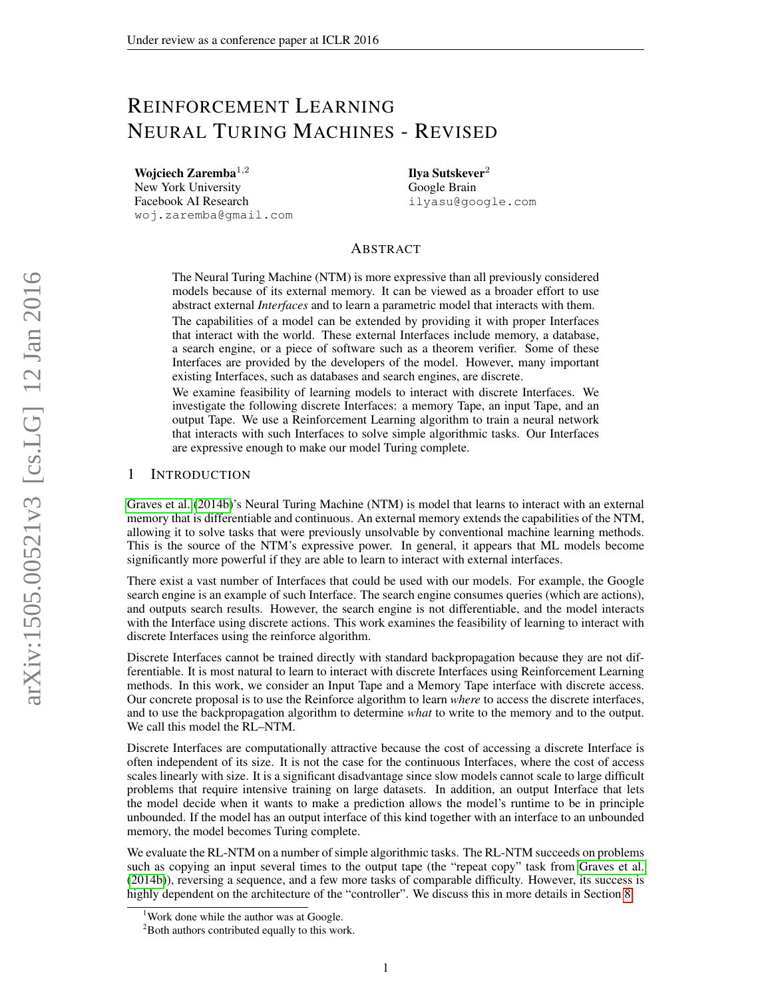# REINFORCEMENT LEARNING NEURAL TURING MACHINES - REVISED

Wojciech Zaremba<sup>1,2</sup> New York University Facebook AI Research woj.zaremba@gmail.com Ilya Sutskever<sup>2</sup> Google Brain ilyasu@google.com

## ABSTRACT

The Neural Turing Machine (NTM) is more expressive than all previously considered models because of its external memory. It can be viewed as a broader effort to use abstract external *Interfaces* and to learn a parametric model that interacts with them. The capabilities of a model can be extended by providing it with proper Interfaces that interact with the world. These external Interfaces include memory, a database, a search engine, or a piece of software such as a theorem verifier. Some of these Interfaces are provided by the developers of the model. However, many important existing Interfaces, such as databases and search engines, are discrete.

We examine feasibility of learning models to interact with discrete Interfaces. We investigate the following discrete Interfaces: a memory Tape, an input Tape, and an output Tape. We use a Reinforcement Learning algorithm to train a neural network that interacts with such Interfaces to solve simple algorithmic tasks. Our Interfaces are expressive enough to make our model Turing complete.

## 1 INTRODUCTION

[Graves et al.](#page-9-0) [\(2014b\)](#page-9-0)'s Neural Turing Machine (NTM) is model that learns to interact with an external memory that is differentiable and continuous. An external memory extends the capabilities of the NTM, allowing it to solve tasks that were previously unsolvable by conventional machine learning methods. This is the source of the NTM's expressive power. In general, it appears that ML models become significantly more powerful if they are able to learn to interact with external interfaces.

There exist a vast number of Interfaces that could be used with our models. For example, the Google search engine is an example of such Interface. The search engine consumes queries (which are actions), and outputs search results. However, the search engine is not differentiable, and the model interacts with the Interface using discrete actions. This work examines the feasibility of learning to interact with discrete Interfaces using the reinforce algorithm.

Discrete Interfaces cannot be trained directly with standard backpropagation because they are not differentiable. It is most natural to learn to interact with discrete Interfaces using Reinforcement Learning methods. In this work, we consider an Input Tape and a Memory Tape interface with discrete access. Our concrete proposal is to use the Reinforce algorithm to learn *where* to access the discrete interfaces, and to use the backpropagation algorithm to determine *what* to write to the memory and to the output. We call this model the RL–NTM.

Discrete Interfaces are computationally attractive because the cost of accessing a discrete Interface is often independent of its size. It is not the case for the continuous Interfaces, where the cost of access scales linearly with size. It is a significant disadvantage since slow models cannot scale to large difficult problems that require intensive training on large datasets. In addition, an output Interface that lets the model decide when it wants to make a prediction allows the model's runtime to be in principle unbounded. If the model has an output interface of this kind together with an interface to an unbounded memory, the model becomes Turing complete.

We evaluate the RL-NTM on a number of simple algorithmic tasks. The RL-NTM succeeds on problems such as copying an input several times to the output tape (the "repeat copy" task from [Graves et al.](#page-9-0) [\(2014b\)](#page-9-0)), reversing a sequence, and a few more tasks of comparable difficulty. However, its success is highly dependent on the architecture of the "controller". We discuss this in more details in Section [8.](#page-7-0)

<sup>&</sup>lt;sup>1</sup>Work done while the author was at Google.

<sup>&</sup>lt;sup>2</sup>Both authors contributed equally to this work.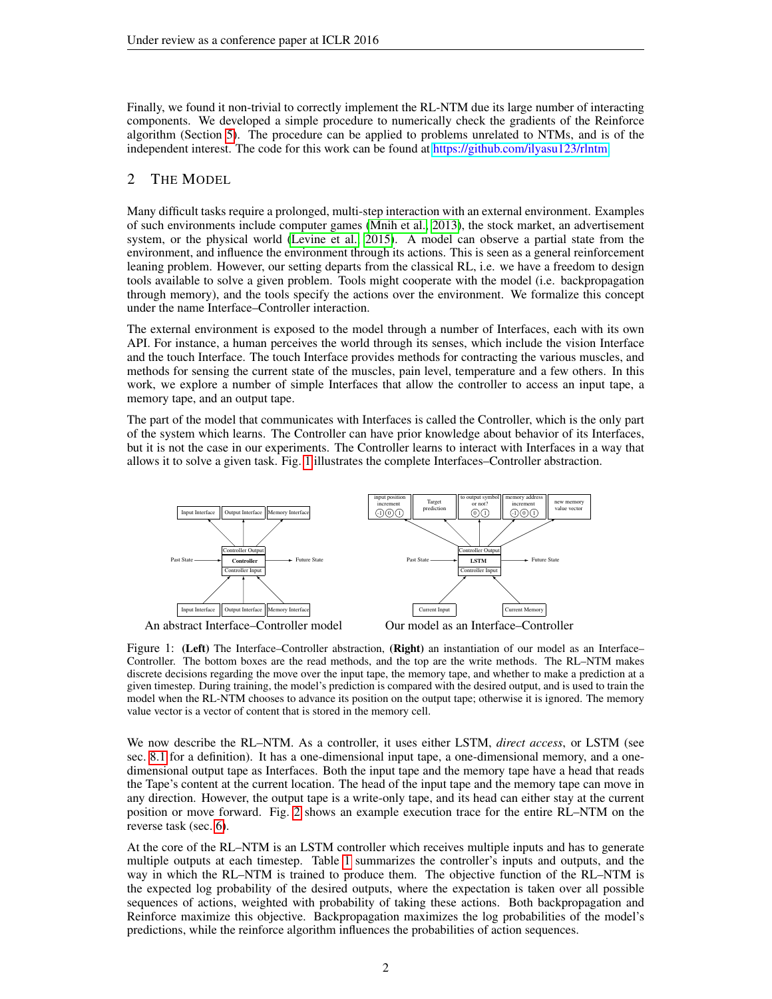Finally, we found it non-trivial to correctly implement the RL-NTM due its large number of interacting components. We developed a simple procedure to numerically check the gradients of the Reinforce algorithm (Section [5\)](#page-4-0). The procedure can be applied to problems unrelated to NTMs, and is of the independent interest. The code for this work can be found at [https://github.com/ilyasu123/rlntm.](https://github.com/ilyasu123/rlntm)

## <span id="page-1-1"></span>2 THE MODEL

Many difficult tasks require a prolonged, multi-step interaction with an external environment. Examples of such environments include computer games [\(Mnih et al., 2013\)](#page-9-1), the stock market, an advertisement system, or the physical world [\(Levine et al., 2015\)](#page-9-2). A model can observe a partial state from the environment, and influence the environment through its actions. This is seen as a general reinforcement leaning problem. However, our setting departs from the classical RL, i.e. we have a freedom to design tools available to solve a given problem. Tools might cooperate with the model (i.e. backpropagation through memory), and the tools specify the actions over the environment. We formalize this concept under the name Interface–Controller interaction.

The external environment is exposed to the model through a number of Interfaces, each with its own API. For instance, a human perceives the world through its senses, which include the vision Interface and the touch Interface. The touch Interface provides methods for contracting the various muscles, and methods for sensing the current state of the muscles, pain level, temperature and a few others. In this work, we explore a number of simple Interfaces that allow the controller to access an input tape, a memory tape, and an output tape.

The part of the model that communicates with Interfaces is called the Controller, which is the only part of the system which learns. The Controller can have prior knowledge about behavior of its Interfaces, but it is not the case in our experiments. The Controller learns to interact with Interfaces in a way that allows it to solve a given task. Fig. [1](#page-1-0) illustrates the complete Interfaces–Controller abstraction.

<span id="page-1-0"></span>

Figure 1: (Left) The Interface–Controller abstraction, (Right) an instantiation of our model as an Interface– Controller. The bottom boxes are the read methods, and the top are the write methods. The RL–NTM makes discrete decisions regarding the move over the input tape, the memory tape, and whether to make a prediction at a given timestep. During training, the model's prediction is compared with the desired output, and is used to train the model when the RL-NTM chooses to advance its position on the output tape; otherwise it is ignored. The memory value vector is a vector of content that is stored in the memory cell.

We now describe the RL–NTM. As a controller, it uses either LSTM, *direct access*, or LSTM (see sec. [8.1](#page-7-1) for a definition). It has a one-dimensional input tape, a one-dimensional memory, and a onedimensional output tape as Interfaces. Both the input tape and the memory tape have a head that reads the Tape's content at the current location. The head of the input tape and the memory tape can move in any direction. However, the output tape is a write-only tape, and its head can either stay at the current position or move forward. Fig. [2](#page-2-0) shows an example execution trace for the entire RL–NTM on the reverse task (sec. [6\)](#page-5-0).

At the core of the RL–NTM is an LSTM controller which receives multiple inputs and has to generate multiple outputs at each timestep. Table [1](#page-2-1) summarizes the controller's inputs and outputs, and the way in which the RL–NTM is trained to produce them. The objective function of the RL–NTM is the expected log probability of the desired outputs, where the expectation is taken over all possible sequences of actions, weighted with probability of taking these actions. Both backpropagation and Reinforce maximize this objective. Backpropagation maximizes the log probabilities of the model's predictions, while the reinforce algorithm influences the probabilities of action sequences.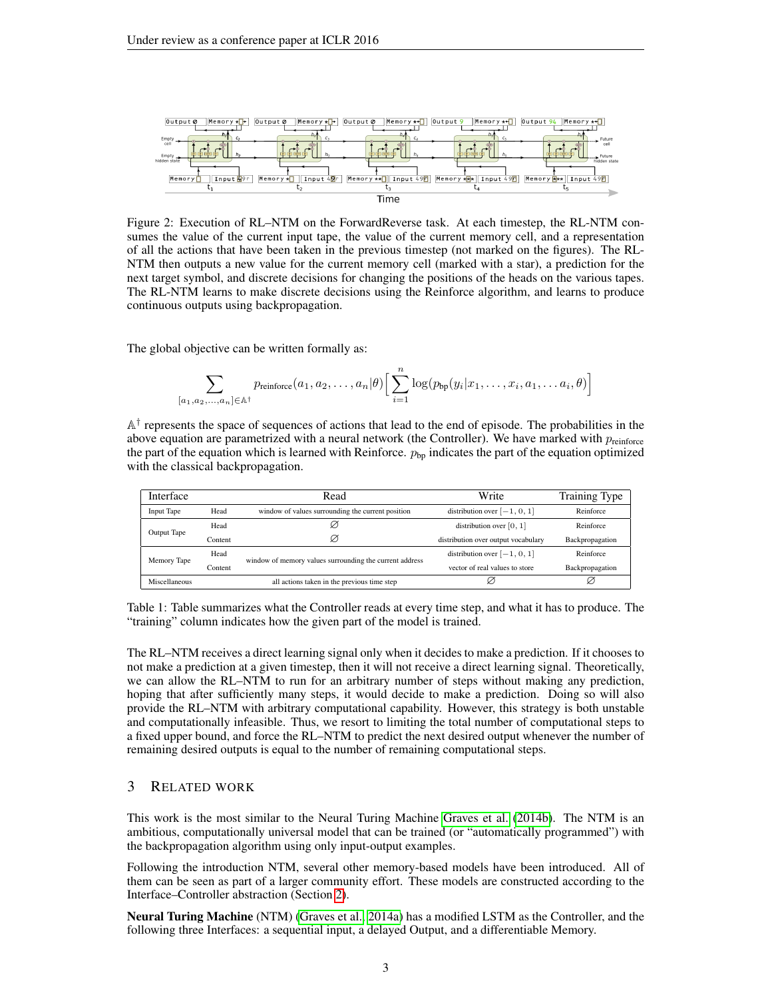<span id="page-2-0"></span>

Figure 2: Execution of RL–NTM on the ForwardReverse task. At each timestep, the RL-NTM consumes the value of the current input tape, the value of the current memory cell, and a representation of all the actions that have been taken in the previous timestep (not marked on the figures). The RL-NTM then outputs a new value for the current memory cell (marked with a star), a prediction for the next target symbol, and discrete decisions for changing the positions of the heads on the various tapes. The RL-NTM learns to make discrete decisions using the Reinforce algorithm, and learns to produce continuous outputs using backpropagation.

The global objective can be written formally as:

$$
\sum_{[a_1, a_2, \ldots, a_n] \in \mathbb{A}^{\dagger}} p_{\text{reinforce}}(a_1, a_2, \ldots, a_n | \theta) \Big[ \sum_{i=1}^n \log(p_{\text{bp}}(y_i | x_1, \ldots, x_i, a_1, \ldots, a_i, \theta) \Big]
$$

 $A^{\dagger}$  represents the space of sequences of actions that lead to the end of episode. The probabilities in the above equation are parametrized with a neural network (the Controller). We have marked with  $p_{\text{reinforce}}$ the part of the equation which is learned with Reinforce.  $p_{bp}$  indicates the part of the equation optimized with the classical backpropagation.

<span id="page-2-1"></span>

| Interface     | Read                                        |                                                         | Write                               | Training Type   |
|---------------|---------------------------------------------|---------------------------------------------------------|-------------------------------------|-----------------|
| Input Tape    | Head                                        | window of values surrounding the current position       | distribution over $[-1, 0, 1]$      | Reinforce       |
| Output Tape   | Head                                        |                                                         | distribution over $[0, 1]$          | Reinforce       |
|               | Content                                     | Ø                                                       | distribution over output vocabulary | Backpropagation |
| Memory Tape   | Head                                        | window of memory values surrounding the current address | distribution over $[-1, 0, 1]$      | Reinforce       |
|               | Content                                     |                                                         | vector of real values to store      | Backpropagation |
| Miscellaneous | all actions taken in the previous time step |                                                         |                                     | Ø               |

Table 1: Table summarizes what the Controller reads at every time step, and what it has to produce. The "training" column indicates how the given part of the model is trained.

The RL–NTM receives a direct learning signal only when it decides to make a prediction. If it chooses to not make a prediction at a given timestep, then it will not receive a direct learning signal. Theoretically, we can allow the RL–NTM to run for an arbitrary number of steps without making any prediction, hoping that after sufficiently many steps, it would decide to make a prediction. Doing so will also provide the RL–NTM with arbitrary computational capability. However, this strategy is both unstable and computationally infeasible. Thus, we resort to limiting the total number of computational steps to a fixed upper bound, and force the RL–NTM to predict the next desired output whenever the number of remaining desired outputs is equal to the number of remaining computational steps.

## 3 RELATED WORK

This work is the most similar to the Neural Turing Machine [Graves et al.](#page-9-0) [\(2014b\)](#page-9-0). The NTM is an ambitious, computationally universal model that can be trained (or "automatically programmed") with the backpropagation algorithm using only input-output examples.

Following the introduction NTM, several other memory-based models have been introduced. All of them can be seen as part of a larger community effort. These models are constructed according to the Interface–Controller abstraction (Section [2\)](#page-1-1).

Neural Turing Machine (NTM) [\(Graves et al., 2014a\)](#page-9-3) has a modified LSTM as the Controller, and the following three Interfaces: a sequential input, a delayed Output, and a differentiable Memory.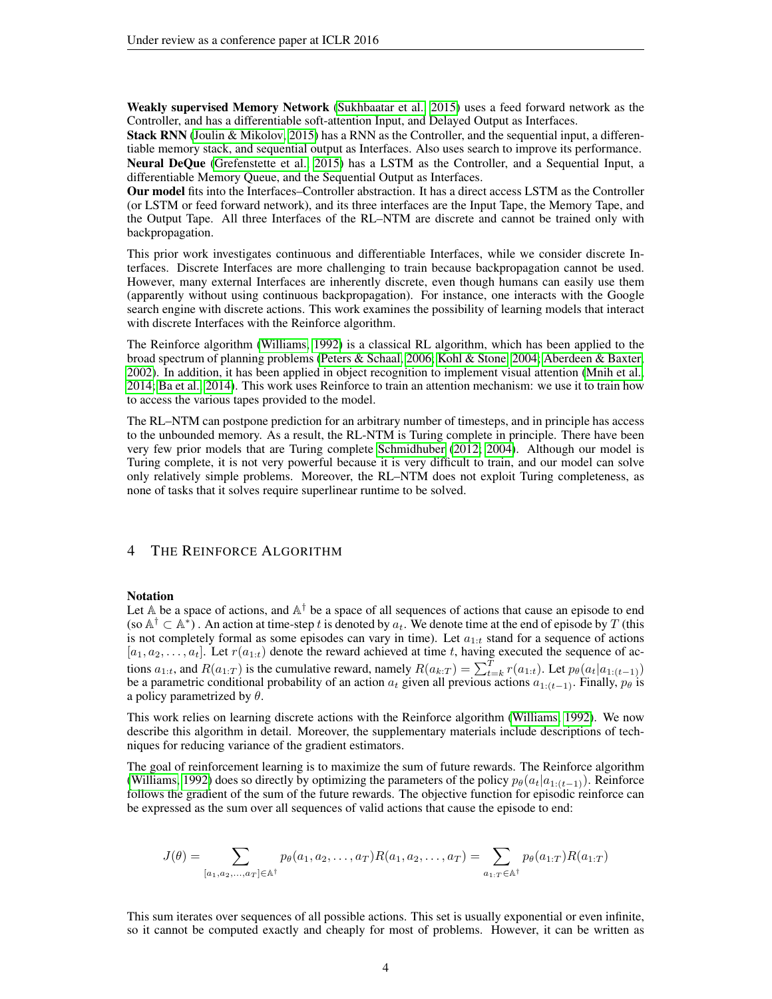Weakly supervised Memory Network [\(Sukhbaatar et al., 2015\)](#page-9-4) uses a feed forward network as the Controller, and has a differentiable soft-attention Input, and Delayed Output as Interfaces.

Stack RNN [\(Joulin & Mikolov, 2015\)](#page-9-5) has a RNN as the Controller, and the sequential input, a differentiable memory stack, and sequential output as Interfaces. Also uses search to improve its performance.

Neural DeQue [\(Grefenstette et al., 2015\)](#page-9-6) has a LSTM as the Controller, and a Sequential Input, a differentiable Memory Queue, and the Sequential Output as Interfaces.

Our model fits into the Interfaces–Controller abstraction. It has a direct access LSTM as the Controller (or LSTM or feed forward network), and its three interfaces are the Input Tape, the Memory Tape, and the Output Tape. All three Interfaces of the RL–NTM are discrete and cannot be trained only with backpropagation.

This prior work investigates continuous and differentiable Interfaces, while we consider discrete Interfaces. Discrete Interfaces are more challenging to train because backpropagation cannot be used. However, many external Interfaces are inherently discrete, even though humans can easily use them (apparently without using continuous backpropagation). For instance, one interacts with the Google search engine with discrete actions. This work examines the possibility of learning models that interact with discrete Interfaces with the Reinforce algorithm.

The Reinforce algorithm [\(Williams, 1992\)](#page-9-7) is a classical RL algorithm, which has been applied to the broad spectrum of planning problems [\(Peters & Schaal, 2006;](#page-9-8) [Kohl & Stone, 2004;](#page-9-9) [Aberdeen & Baxter,](#page-9-10) [2002\)](#page-9-10). In addition, it has been applied in object recognition to implement visual attention [\(Mnih et al.,](#page-9-11) [2014;](#page-9-11) [Ba et al., 2014\)](#page-9-12). This work uses Reinforce to train an attention mechanism: we use it to train how to access the various tapes provided to the model.

The RL–NTM can postpone prediction for an arbitrary number of timesteps, and in principle has access to the unbounded memory. As a result, the RL-NTM is Turing complete in principle. There have been very few prior models that are Turing complete [Schmidhuber](#page-9-13) [\(2012;](#page-9-13) [2004\)](#page-9-14). Although our model is Turing complete, it is not very powerful because it is very difficult to train, and our model can solve only relatively simple problems. Moreover, the RL–NTM does not exploit Turing completeness, as none of tasks that it solves require superlinear runtime to be solved.

## <span id="page-3-0"></span>4 THE REINFORCE ALGORITHM

#### Notation

Let A be a space of actions, and  $A^{\dagger}$  be a space of all sequences of actions that cause an episode to end (so  $\mathbb{A}^{\dagger} \subset \mathbb{A}^*$ ). An action at time-step t is denoted by  $a_t$ . We denote time at the end of episode by T (this is not completely formal as some episodes can vary in time). Let  $a_{1:t}$  stand for a sequence of actions  $[a_1, a_2, \ldots, a_t]$ . Let  $r(a_{1:t})$  denote the reward achieved at time t, having executed the sequence of actions  $a_{1:t}$ , and  $R(a_{1:T})$  is the cumulative reward, namely  $R(a_{k:T}) = \sum_{t=k}^{T} r(a_{1:t})$ . Let  $p_{\theta}(a_t|a_{1:(t-1)})$ be a parametric conditional probability of an action  $a_t$  given all previous actions  $a_{1:(t-1)}$ . Finally,  $p_\theta$  is a policy parametrized by  $\theta$ .

This work relies on learning discrete actions with the Reinforce algorithm [\(Williams, 1992\)](#page-9-7). We now describe this algorithm in detail. Moreover, the supplementary materials include descriptions of techniques for reducing variance of the gradient estimators.

The goal of reinforcement learning is to maximize the sum of future rewards. The Reinforce algorithm [\(Williams, 1992\)](#page-9-7) does so directly by optimizing the parameters of the policy  $p_{\theta}(a_t|a_{1:(t-1)})$ . Reinforce follows the gradient of the sum of the future rewards. The objective function for episodic reinforce can be expressed as the sum over all sequences of valid actions that cause the episode to end:

$$
J(\theta) = \sum_{[a_1, a_2, \dots, a_T] \in \mathbb{A}^{\dagger}} p_{\theta}(a_1, a_2, \dots, a_T) R(a_1, a_2, \dots, a_T) = \sum_{a_1, T \in \mathbb{A}^{\dagger}} p_{\theta}(a_{1:T}) R(a_{1:T})
$$

This sum iterates over sequences of all possible actions. This set is usually exponential or even infinite, so it cannot be computed exactly and cheaply for most of problems. However, it can be written as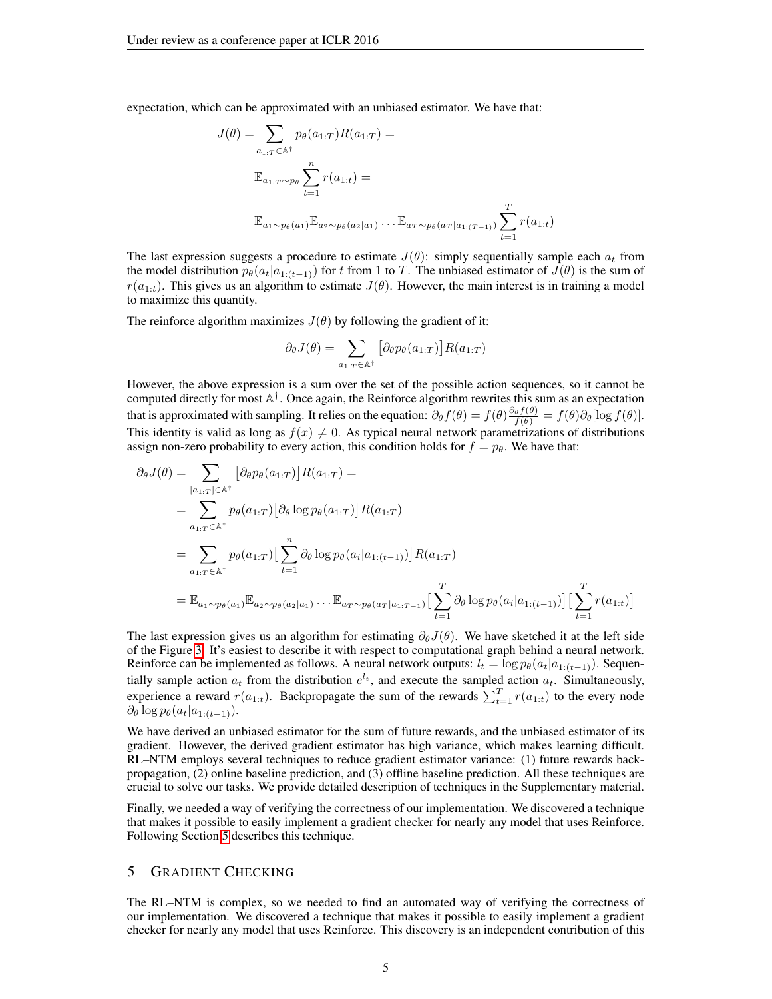expectation, which can be approximated with an unbiased estimator. We have that:

$$
J(\theta) = \sum_{a_{1:T} \in \mathbb{A}^{\dagger}} p_{\theta}(a_{1:T}) R(a_{1:T}) =
$$
  

$$
\mathbb{E}_{a_{1:T} \sim p_{\theta}} \sum_{t=1}^{n} r(a_{1:t}) =
$$
  

$$
\mathbb{E}_{a_{1} \sim p_{\theta}(a_{1})} \mathbb{E}_{a_{2} \sim p_{\theta}(a_{2}|a_{1})} \dots \mathbb{E}_{a_{T} \sim p_{\theta}(a_{T}|a_{1:(T-1)})} \sum_{t=1}^{T} r(a_{1:t})
$$

The last expression suggests a procedure to estimate  $J(\theta)$ : simply sequentially sample each  $a_t$  from the model distribution  $p_{\theta}(a_t|a_{1:(t-1)})$  for t from 1 to T. The unbiased estimator of  $J(\theta)$  is the sum of  $r(a_{1:t})$ . This gives us an algorithm to estimate  $J(\theta)$ . However, the main interest is in training a model to maximize this quantity.

The reinforce algorithm maximizes  $J(\theta)$  by following the gradient of it:

$$
\partial_{\theta}J(\theta) = \sum_{a_{1:T} \in \mathbb{A}^{\dagger}} \left[ \partial_{\theta} p_{\theta}(a_{1:T}) \right] R(a_{1:T})
$$

However, the above expression is a sum over the set of the possible action sequences, so it cannot be computed directly for most A † . Once again, the Reinforce algorithm rewrites this sum as an expectation that is approximated with sampling. It relies on the equation:  $\partial_{\theta} f(\theta) = f(\theta) \frac{\partial_{\theta} f(\theta)}{f(\theta)} = f(\theta) \partial_{\theta} [\log f(\theta)].$ This identity is valid as long as  $f(x) \neq 0$ . As typical neural network parametrizations of distributions assign non-zero probability to every action, this condition holds for  $f = p_\theta$ . We have that:

$$
\partial_{\theta}J(\theta) = \sum_{[a_{1:T}] \in \mathbb{A}^{\dagger}} \left[ \partial_{\theta}p_{\theta}(a_{1:T}) \right] R(a_{1:T}) =
$$
\n
$$
= \sum_{a_{1:T} \in \mathbb{A}^{\dagger}} p_{\theta}(a_{1:T}) \left[ \partial_{\theta} \log p_{\theta}(a_{1:T}) \right] R(a_{1:T})
$$
\n
$$
= \sum_{a_{1:T} \in \mathbb{A}^{\dagger}} p_{\theta}(a_{1:T}) \left[ \sum_{t=1}^{n} \partial_{\theta} \log p_{\theta}(a_{i}|a_{1:(t-1)}) \right] R(a_{1:T})
$$
\n
$$
= \mathbb{E}_{a_{1} \sim p_{\theta}(a_{1})} \mathbb{E}_{a_{2} \sim p_{\theta}(a_{2}|a_{1})} \dots \mathbb{E}_{a_{T} \sim p_{\theta}(a_{T}|a_{1:T-1})} \left[ \sum_{t=1}^{T} \partial_{\theta} \log p_{\theta}(a_{i}|a_{1:(t-1)}) \right] \left[ \sum_{t=1}^{T} r(a_{1:t}) \right]
$$

The last expression gives us an algorithm for estimating  $\partial_{\theta}J(\theta)$ . We have sketched it at the left side of the Figure [3.](#page-5-1) It's easiest to describe it with respect to computational graph behind a neural network. Reinforce can be implemented as follows. A neural network outputs:  $l_t = \log p_\theta(a_t|a_{1:(t-1)})$ . Sequentially sample action  $a_t$  from the distribution  $e^{l_t}$ , and execute the sampled action  $a_t$ . Simultaneously, experience a reward  $r(a_{1:t})$ . Backpropagate the sum of the rewards  $\sum_{t=1}^{T} r(a_{1:t})$  to the every node  $\partial_\theta \log p_\theta(a_t|a_{1:(t-1)}).$ 

We have derived an unbiased estimator for the sum of future rewards, and the unbiased estimator of its gradient. However, the derived gradient estimator has high variance, which makes learning difficult. RL–NTM employs several techniques to reduce gradient estimator variance: (1) future rewards backpropagation, (2) online baseline prediction, and (3) offline baseline prediction. All these techniques are crucial to solve our tasks. We provide detailed description of techniques in the Supplementary material.

Finally, we needed a way of verifying the correctness of our implementation. We discovered a technique that makes it possible to easily implement a gradient checker for nearly any model that uses Reinforce. Following Section [5](#page-4-0) describes this technique.

## <span id="page-4-0"></span>5 GRADIENT CHECKING

The RL–NTM is complex, so we needed to find an automated way of verifying the correctness of our implementation. We discovered a technique that makes it possible to easily implement a gradient checker for nearly any model that uses Reinforce. This discovery is an independent contribution of this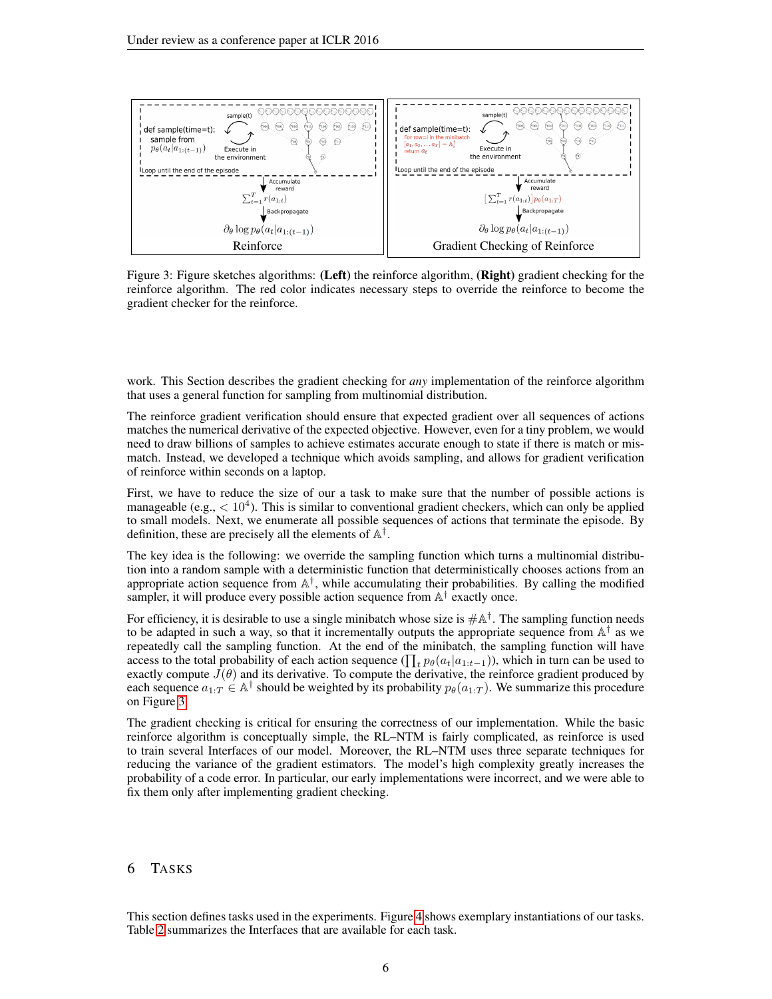<span id="page-5-1"></span>

Figure 3: Figure sketches algorithms: (Left) the reinforce algorithm, (Right) gradient checking for the reinforce algorithm. The red color indicates necessary steps to override the reinforce to become the gradient checker for the reinforce.

work. This Section describes the gradient checking for *any* implementation of the reinforce algorithm that uses a general function for sampling from multinomial distribution.

The reinforce gradient verification should ensure that expected gradient over all sequences of actions matches the numerical derivative of the expected objective. However, even for a tiny problem, we would need to draw billions of samples to achieve estimates accurate enough to state if there is match or mismatch. Instead, we developed a technique which avoids sampling, and allows for gradient verification of reinforce within seconds on a laptop.

First, we have to reduce the size of our a task to make sure that the number of possible actions is manageable (e.g.,  $< 10<sup>4</sup>$ ). This is similar to conventional gradient checkers, which can only be applied to small models. Next, we enumerate all possible sequences of actions that terminate the episode. By definition, these are precisely all the elements of  $\mathbb{A}^{\dagger}$ .

The key idea is the following: we override the sampling function which turns a multinomial distribution into a random sample with a deterministic function that deterministically chooses actions from an appropriate action sequence from  $\mathbb{A}^{\dagger}$ , while accumulating their probabilities. By calling the modified sampler, it will produce every possible action sequence from  $\mathbb{A}^{\dagger}$  exactly once.

For efficiency, it is desirable to use a single minibatch whose size is  $\#\mathbb{A}^{\dagger}$ . The sampling function needs to be adapted in such a way, so that it incrementally outputs the appropriate sequence from  $\mathbb{A}^{\dagger}$  as we repeatedly call the sampling function. At the end of the minibatch, the sampling function will have access to the total probability of each action sequence ( $\prod_t p_\theta(a_t|a_{1:t-1})$ ), which in turn can be used to exactly compute  $J(\theta)$  and its derivative. To compute the derivative, the reinforce gradient produced by each sequence  $a_{1:T} \in \mathbb{A}^{\dagger}$  should be weighted by its probability  $p_{\theta}(a_{1:T})$ . We summarize this procedure on Figure [3.](#page-5-1)

The gradient checking is critical for ensuring the correctness of our implementation. While the basic reinforce algorithm is conceptually simple, the RL–NTM is fairly complicated, as reinforce is used to train several Interfaces of our model. Moreover, the RL–NTM uses three separate techniques for reducing the variance of the gradient estimators. The model's high complexity greatly increases the probability of a code error. In particular, our early implementations were incorrect, and we were able to fix them only after implementing gradient checking.

## <span id="page-5-0"></span>6 TASKS

This section defines tasks used in the experiments. Figure [4](#page-6-0) shows exemplary instantiations of our tasks. Table [2](#page-6-1) summarizes the Interfaces that are available for each task.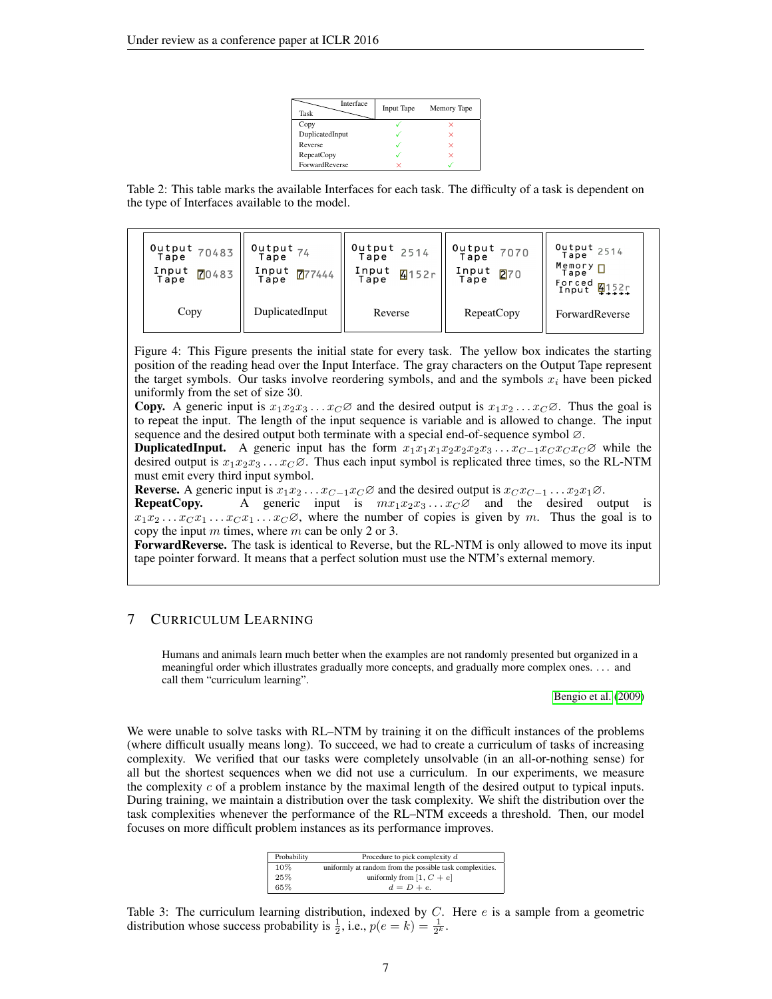| Interface<br>Task | <b>Input Tape</b> | Memory Tape |
|-------------------|-------------------|-------------|
| Copy              |                   |             |
| DuplicatedInput   |                   | ×           |
| Reverse           |                   | ×           |
| <b>RepeatCopy</b> |                   | ×           |
| ForwardReverse    |                   |             |

<span id="page-6-1"></span>Table 2: This table marks the available Interfaces for each task. The difficulty of a task is dependent on the type of Interfaces available to the model.

<span id="page-6-0"></span>

| $10$ utput 70483 "<br>Tape<br>Input<br>70483<br>Tape | Output 74<br>Input $\frac{\sqrt{7}}{444}$ | $10$ utput 2514<br>Tape<br>Input<br>4152r<br>Tape | Output 7070<br>Input<br>270<br>Tape | Output 2514<br>$M$ emory $\P$<br>Tape<br>Forced 4152r<br>Input 4152r |
|------------------------------------------------------|-------------------------------------------|---------------------------------------------------|-------------------------------------|----------------------------------------------------------------------|
| Copy                                                 | DuplicatedInput                           | Reverse                                           | <b>RepeatCopy</b>                   | ForwardReverse                                                       |

Figure 4: This Figure presents the initial state for every task. The yellow box indicates the starting position of the reading head over the Input Interface. The gray characters on the Output Tape represent the target symbols. Our tasks involve reordering symbols, and and the symbols  $x_i$  have been picked uniformly from the set of size 30.

**Copy.** A generic input is  $x_1x_2x_3 \ldots x_C \varnothing$  and the desired output is  $x_1x_2 \ldots x_C \varnothing$ . Thus the goal is to repeat the input. The length of the input sequence is variable and is allowed to change. The input sequence and the desired output both terminate with a special end-of-sequence symbol ∅.

**DuplicatedInput.** A generic input has the form  $x_1x_1x_1x_2x_2x_2x_3 \dots x_{C-1}x_C x_C x_C \varnothing$  while the desired output is  $x_1x_2x_3 \ldots x_C\varnothing$ . Thus each input symbol is replicated three times, so the RL-NTM must emit every third input symbol.

Reverse. A generic input is  $x_1x_2 \ldots x_{C-1}x_C \varnothing$  and the desired output is  $x_C x_{C-1} \ldots x_2 x_1 \varnothing$ .

**RepeatCopy.** A generic input is  $mx_1x_2x_3...x_C\varnothing$  and the desired output is  $x_1x_2 \ldots x_C x_1 \ldots x_C x_1 \ldots x_C \varnothing$ , where the number of copies is given by m. Thus the goal is to copy the input  $m$  times, where  $m$  can be only 2 or 3.

ForwardReverse. The task is identical to Reverse, but the RL-NTM is only allowed to move its input tape pointer forward. It means that a perfect solution must use the NTM's external memory.

## 7 CURRICULUM LEARNING

Humans and animals learn much better when the examples are not randomly presented but organized in a meaningful order which illustrates gradually more concepts, and gradually more complex ones. . . . and call them "curriculum learning".

[Bengio et al.](#page-9-15) [\(2009\)](#page-9-15)

We were unable to solve tasks with RL–NTM by training it on the difficult instances of the problems (where difficult usually means long). To succeed, we had to create a curriculum of tasks of increasing complexity. We verified that our tasks were completely unsolvable (in an all-or-nothing sense) for all but the shortest sequences when we did not use a curriculum. In our experiments, we measure the complexity  $c$  of a problem instance by the maximal length of the desired output to typical inputs. During training, we maintain a distribution over the task complexity. We shift the distribution over the task complexities whenever the performance of the RL–NTM exceeds a threshold. Then, our model focuses on more difficult problem instances as its performance improves.

| Probability | Procedure to pick complexity $d$                         |  |
|-------------|----------------------------------------------------------|--|
| 10%         | uniformly at random from the possible task complexities. |  |
| 25%         | uniformly from [1, $C + e$ ]                             |  |
| 65%         | $d = D + e$                                              |  |

<span id="page-6-2"></span>Table 3: The curriculum learning distribution, indexed by  $C$ . Here  $e$  is a sample from a geometric distribution whose success probability is  $\frac{1}{2}$ , i.e.,  $p(e = k) = \frac{1}{2^k}$ .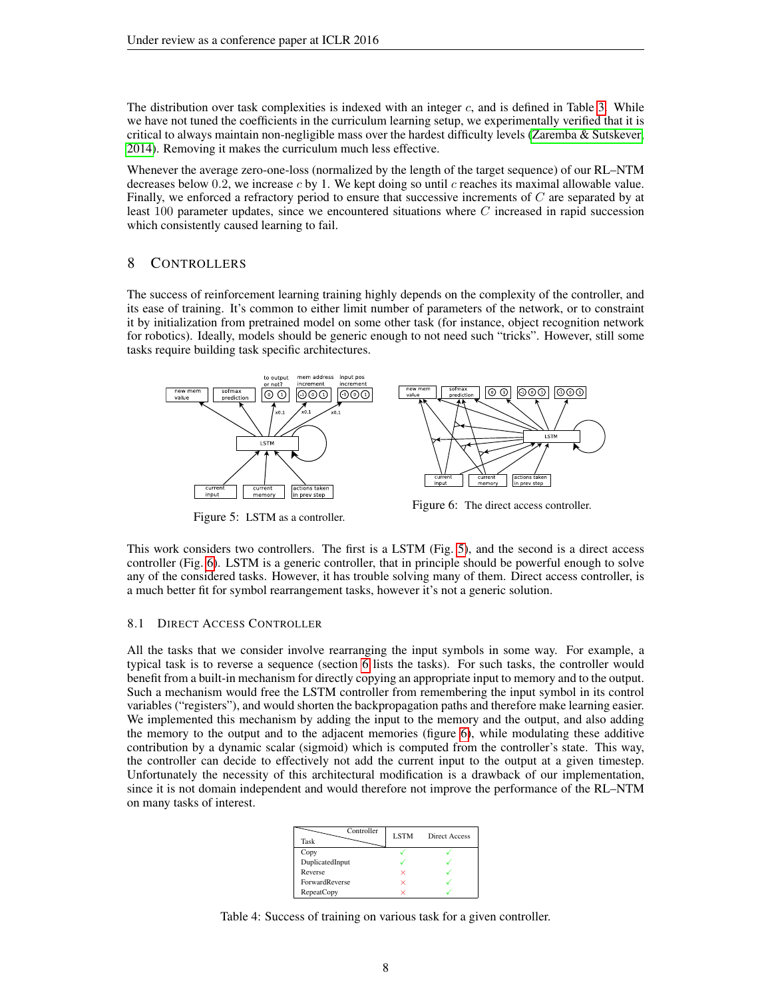The distribution over task complexities is indexed with an integer  $c$ , and is defined in Table [3.](#page-6-2) While we have not tuned the coefficients in the curriculum learning setup, we experimentally verified that it is critical to always maintain non-negligible mass over the hardest difficulty levels [\(Zaremba & Sutskever,](#page-9-16) [2014\)](#page-9-16). Removing it makes the curriculum much less effective.

Whenever the average zero-one-loss (normalized by the length of the target sequence) of our RL–NTM decreases below 0.2, we increase  $c$  by 1. We kept doing so until  $c$  reaches its maximal allowable value. Finally, we enforced a refractory period to ensure that successive increments of C are separated by at least 100 parameter updates, since we encountered situations where C increased in rapid succession which consistently caused learning to fail.

## <span id="page-7-0"></span>8 CONTROLLERS

The success of reinforcement learning training highly depends on the complexity of the controller, and its ease of training. It's common to either limit number of parameters of the network, or to constraint it by initialization from pretrained model on some other task (for instance, object recognition network for robotics). Ideally, models should be generic enough to not need such "tricks". However, still some tasks require building task specific architectures.

<span id="page-7-2"></span>

Figure 5: LSTM as a controller.

Figure 6: The direct access controller.

This work considers two controllers. The first is a LSTM (Fig. [5\)](#page-7-2), and the second is a direct access controller (Fig. [6\)](#page-7-2). LSTM is a generic controller, that in principle should be powerful enough to solve any of the considered tasks. However, it has trouble solving many of them. Direct access controller, is a much better fit for symbol rearrangement tasks, however it's not a generic solution.

#### <span id="page-7-1"></span>8.1 DIRECT ACCESS CONTROLLER

All the tasks that we consider involve rearranging the input symbols in some way. For example, a typical task is to reverse a sequence (section [6](#page-5-0) lists the tasks). For such tasks, the controller would benefit from a built-in mechanism for directly copying an appropriate input to memory and to the output. Such a mechanism would free the LSTM controller from remembering the input symbol in its control variables ("registers"), and would shorten the backpropagation paths and therefore make learning easier. We implemented this mechanism by adding the input to the memory and the output, and also adding the memory to the output and to the adjacent memories (figure [6\)](#page-7-2), while modulating these additive contribution by a dynamic scalar (sigmoid) which is computed from the controller's state. This way, the controller can decide to effectively not add the current input to the output at a given timestep. Unfortunately the necessity of this architectural modification is a drawback of our implementation, since it is not domain independent and would therefore not improve the performance of the RL–NTM on many tasks of interest.

| Controller<br>Task    | <b>LSTM</b> | Direct Access |
|-----------------------|-------------|---------------|
| Copy                  |             |               |
| DuplicatedInput       |             |               |
| Reverse               | ×           |               |
| <b>ForwardReverse</b> | ×           |               |
| <b>RepeatCopy</b>     | び           |               |

<span id="page-7-3"></span>Table 4: Success of training on various task for a given controller.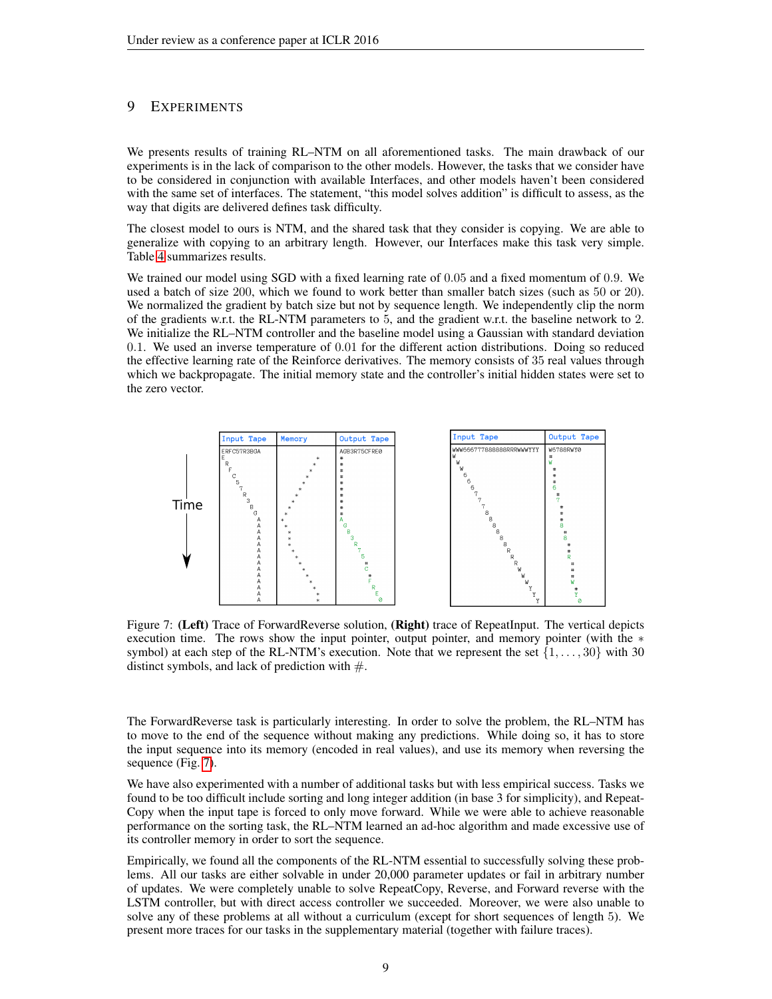## 9 EXPERIMENTS

We presents results of training RL–NTM on all aforementioned tasks. The main drawback of our experiments is in the lack of comparison to the other models. However, the tasks that we consider have to be considered in conjunction with available Interfaces, and other models haven't been considered with the same set of interfaces. The statement, "this model solves addition" is difficult to assess, as the way that digits are delivered defines task difficulty.

The closest model to ours is NTM, and the shared task that they consider is copying. We are able to generalize with copying to an arbitrary length. However, our Interfaces make this task very simple. Table [4](#page-7-3) summarizes results.

We trained our model using SGD with a fixed learning rate of 0.05 and a fixed momentum of 0.9. We used a batch of size 200, which we found to work better than smaller batch sizes (such as 50 or 20). We normalized the gradient by batch size but not by sequence length. We independently clip the norm of the gradients w.r.t. the RL-NTM parameters to 5, and the gradient w.r.t. the baseline network to 2. We initialize the RL–NTM controller and the baseline model using a Gaussian with standard deviation 0.1. We used an inverse temperature of 0.01 for the different action distributions. Doing so reduced the effective learning rate of the Reinforce derivatives. The memory consists of 35 real values through which we backpropagate. The initial memory state and the controller's initial hidden states were set to the zero vector.

<span id="page-8-0"></span>

Figure 7: (Left) Trace of ForwardReverse solution, (Right) trace of RepeatInput. The vertical depicts execution time. The rows show the input pointer, output pointer, and memory pointer (with the ∗ symbol) at each step of the RL-NTM's execution. Note that we represent the set  $\{1, \ldots, 30\}$  with 30 distinct symbols, and lack of prediction with  $#$ .

The ForwardReverse task is particularly interesting. In order to solve the problem, the RL–NTM has to move to the end of the sequence without making any predictions. While doing so, it has to store the input sequence into its memory (encoded in real values), and use its memory when reversing the sequence (Fig. [7\)](#page-8-0).

We have also experimented with a number of additional tasks but with less empirical success. Tasks we found to be too difficult include sorting and long integer addition (in base 3 for simplicity), and Repeat-Copy when the input tape is forced to only move forward. While we were able to achieve reasonable performance on the sorting task, the RL–NTM learned an ad-hoc algorithm and made excessive use of its controller memory in order to sort the sequence.

Empirically, we found all the components of the RL-NTM essential to successfully solving these problems. All our tasks are either solvable in under 20,000 parameter updates or fail in arbitrary number of updates. We were completely unable to solve RepeatCopy, Reverse, and Forward reverse with the LSTM controller, but with direct access controller we succeeded. Moreover, we were also unable to solve any of these problems at all without a curriculum (except for short sequences of length 5). We present more traces for our tasks in the supplementary material (together with failure traces).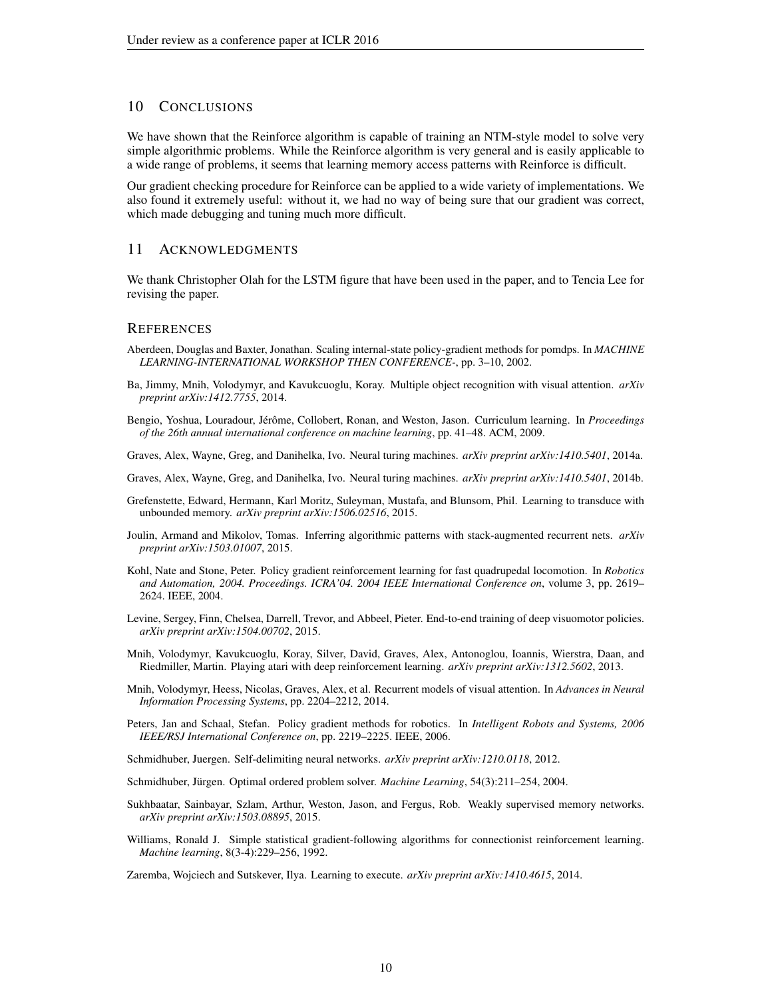## 10 CONCLUSIONS

We have shown that the Reinforce algorithm is capable of training an NTM-style model to solve very simple algorithmic problems. While the Reinforce algorithm is very general and is easily applicable to a wide range of problems, it seems that learning memory access patterns with Reinforce is difficult.

Our gradient checking procedure for Reinforce can be applied to a wide variety of implementations. We also found it extremely useful: without it, we had no way of being sure that our gradient was correct, which made debugging and tuning much more difficult.

## 11 ACKNOWLEDGMENTS

We thank Christopher Olah for the LSTM figure that have been used in the paper, and to Tencia Lee for revising the paper.

## **REFERENCES**

- <span id="page-9-10"></span>Aberdeen, Douglas and Baxter, Jonathan. Scaling internal-state policy-gradient methods for pomdps. In *MACHINE LEARNING-INTERNATIONAL WORKSHOP THEN CONFERENCE-*, pp. 3–10, 2002.
- <span id="page-9-12"></span>Ba, Jimmy, Mnih, Volodymyr, and Kavukcuoglu, Koray. Multiple object recognition with visual attention. *arXiv preprint arXiv:1412.7755*, 2014.
- <span id="page-9-15"></span>Bengio, Yoshua, Louradour, Jérôme, Collobert, Ronan, and Weston, Jason. Curriculum learning. In *Proceedings of the 26th annual international conference on machine learning*, pp. 41–48. ACM, 2009.

<span id="page-9-3"></span>Graves, Alex, Wayne, Greg, and Danihelka, Ivo. Neural turing machines. *arXiv preprint arXiv:1410.5401*, 2014a.

<span id="page-9-0"></span>Graves, Alex, Wayne, Greg, and Danihelka, Ivo. Neural turing machines. *arXiv preprint arXiv:1410.5401*, 2014b.

- <span id="page-9-6"></span>Grefenstette, Edward, Hermann, Karl Moritz, Suleyman, Mustafa, and Blunsom, Phil. Learning to transduce with unbounded memory. *arXiv preprint arXiv:1506.02516*, 2015.
- <span id="page-9-5"></span>Joulin, Armand and Mikolov, Tomas. Inferring algorithmic patterns with stack-augmented recurrent nets. *arXiv preprint arXiv:1503.01007*, 2015.
- <span id="page-9-9"></span>Kohl, Nate and Stone, Peter. Policy gradient reinforcement learning for fast quadrupedal locomotion. In *Robotics and Automation, 2004. Proceedings. ICRA'04. 2004 IEEE International Conference on*, volume 3, pp. 2619– 2624. IEEE, 2004.
- <span id="page-9-2"></span>Levine, Sergey, Finn, Chelsea, Darrell, Trevor, and Abbeel, Pieter. End-to-end training of deep visuomotor policies. *arXiv preprint arXiv:1504.00702*, 2015.
- <span id="page-9-1"></span>Mnih, Volodymyr, Kavukcuoglu, Koray, Silver, David, Graves, Alex, Antonoglou, Ioannis, Wierstra, Daan, and Riedmiller, Martin. Playing atari with deep reinforcement learning. *arXiv preprint arXiv:1312.5602*, 2013.
- <span id="page-9-11"></span>Mnih, Volodymyr, Heess, Nicolas, Graves, Alex, et al. Recurrent models of visual attention. In *Advances in Neural Information Processing Systems*, pp. 2204–2212, 2014.
- <span id="page-9-8"></span>Peters, Jan and Schaal, Stefan. Policy gradient methods for robotics. In *Intelligent Robots and Systems, 2006 IEEE/RSJ International Conference on*, pp. 2219–2225. IEEE, 2006.
- <span id="page-9-13"></span>Schmidhuber, Juergen. Self-delimiting neural networks. *arXiv preprint arXiv:1210.0118*, 2012.
- <span id="page-9-14"></span>Schmidhuber, Jürgen. Optimal ordered problem solver. *Machine Learning*, 54(3):211–254, 2004.
- <span id="page-9-4"></span>Sukhbaatar, Sainbayar, Szlam, Arthur, Weston, Jason, and Fergus, Rob. Weakly supervised memory networks. *arXiv preprint arXiv:1503.08895*, 2015.
- <span id="page-9-7"></span>Williams, Ronald J. Simple statistical gradient-following algorithms for connectionist reinforcement learning. *Machine learning*, 8(3-4):229–256, 1992.

<span id="page-9-16"></span>Zaremba, Wojciech and Sutskever, Ilya. Learning to execute. *arXiv preprint arXiv:1410.4615*, 2014.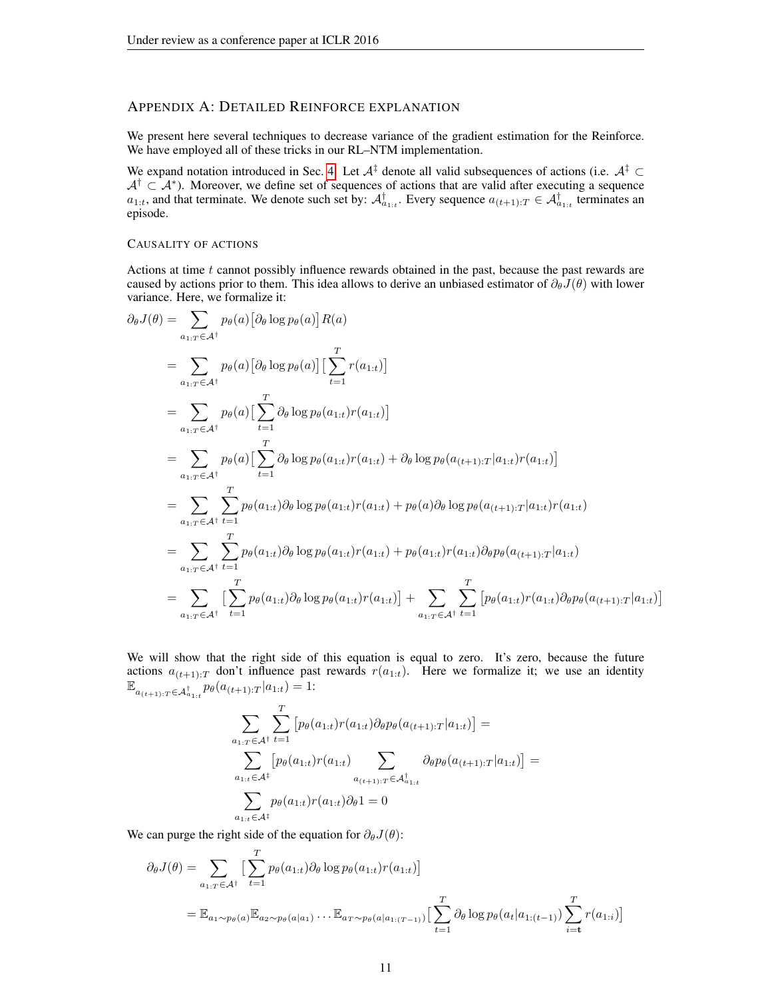# APPENDIX A: DETAILED REINFORCE EXPLANATION

We present here several techniques to decrease variance of the gradient estimation for the Reinforce. We have employed all of these tricks in our RL–NTM implementation.

We expand notation introduced in Sec. [4.](#page-3-0) Let  $A^{\ddagger}$  denote all valid subsequences of actions (i.e.  $A^{\ddagger} \subset$  $A^{\dagger} \subset A^*$ ). Moreover, we define set of sequences of actions that are valid after executing a sequence  $a_{1:t}$ , and that terminate. We denote such set by:  $\mathcal{A}^{\dagger}_{a_{1:t}}$ . Every sequence  $a_{(t+1):T} \in \mathcal{A}^{\dagger}_{a_{1:t}}$  terminates an episode.

#### CAUSALITY OF ACTIONS

Actions at time  $t$  cannot possibly influence rewards obtained in the past, because the past rewards are caused by actions prior to them. This idea allows to derive an unbiased estimator of  $\partial_{\theta}J(\theta)$  with lower variance. Here, we formalize it:

$$
\partial_{\theta}J(\theta) = \sum_{a_{1:T} \in \mathcal{A}^{\dagger}} p_{\theta}(a) [\partial_{\theta} \log p_{\theta}(a)] R(a)
$$
\n
$$
= \sum_{a_{1:T} \in \mathcal{A}^{\dagger}} p_{\theta}(a) [\partial_{\theta} \log p_{\theta}(a)] [\sum_{t=1}^{T} r(a_{1:t})]
$$
\n
$$
= \sum_{a_{1:T} \in \mathcal{A}^{\dagger}} p_{\theta}(a) [\sum_{t=1}^{T} \partial_{\theta} \log p_{\theta}(a_{1:t}) r(a_{1:t})]
$$
\n
$$
= \sum_{a_{1:T} \in \mathcal{A}^{\dagger}} p_{\theta}(a) [\sum_{t=1}^{T} \partial_{\theta} \log p_{\theta}(a_{1:t}) r(a_{1:t}) + \partial_{\theta} \log p_{\theta}(a_{(t+1):T}|a_{1:t}) r(a_{1:t})]
$$
\n
$$
= \sum_{a_{1:T} \in \mathcal{A}^{\dagger}} \sum_{t=1}^{T} p_{\theta}(a_{1:t}) \partial_{\theta} \log p_{\theta}(a_{1:t}) r(a_{1:t}) + p_{\theta}(a) \partial_{\theta} \log p_{\theta}(a_{(t+1):T}|a_{1:t}) r(a_{1:t})
$$
\n
$$
= \sum_{a_{1:T} \in \mathcal{A}^{\dagger}} \sum_{t=1}^{T} p_{\theta}(a_{1:t}) \partial_{\theta} \log p_{\theta}(a_{1:t}) r(a_{1:t}) + p_{\theta}(a_{1:t}) r(a_{1:t}) \partial_{\theta} p_{\theta}(a_{(t+1):T}|a_{1:t})
$$
\n
$$
= \sum_{a_{1:T} \in \mathcal{A}^{\dagger}} \sum_{t=1}^{T} p_{\theta}(a_{1:t}) \partial_{\theta} \log p_{\theta}(a_{1:t}) r(a_{1:t})] + \sum_{a_{1:T} \in \mathcal{A}^{\dagger}} \sum_{t=1}^{T} \left[ p_{\theta}(a_{1:t}) r(a_{1:t}) \partial_{\theta} p_{\theta}(a_{(t+1):T}|a_{1:t}) \right]
$$

We will show that the right side of this equation is equal to zero. It's zero, because the future actions  $a_{(t+1):T}$  don't influence past rewards  $r(a_{1:t})$ . Here we formalize it; we use an identity  $\mathbb{E}_{a_{(t+1):T} \in \mathcal{A}_{a_{1:t}}^{\dagger}} p_{\theta}(a_{(t+1):T} | a_{1:t}) = 1:$ 

1

$$
\sum_{a_{1:t} \in A^{\dagger}} \sum_{t=1}^{T} \left[ p_{\theta}(a_{1:t}) r(a_{1:t}) \partial_{\theta} p_{\theta}(a_{(t+1):T} | a_{1:t}) \right] =
$$
\n
$$
\sum_{a_{1:t} \in A^{\dagger}} \left[ p_{\theta}(a_{1:t}) r(a_{1:t}) \sum_{a_{(t+1):T} \in A^{\dagger}_{a_{1:t}}} \partial_{\theta} p_{\theta}(a_{(t+1):T} | a_{1:t}) \right] =
$$
\n
$$
\sum_{a_{1:t} \in A^{\dagger}} p_{\theta}(a_{1:t}) r(a_{1:t}) \partial_{\theta} 1 = 0
$$

We can purge the right side of the equation for  $\partial_{\theta}J(\theta)$ :

$$
\partial_{\theta} J(\theta) = \sum_{a_1: r \in \mathcal{A}^{\dagger}} \Big[ \sum_{t=1}^{T} p_{\theta}(a_{1:t}) \partial_{\theta} \log p_{\theta}(a_{1:t}) r(a_{1:t}) \Big]
$$
  
=  $\mathbb{E}_{a_1 \sim p_{\theta}(a)} \mathbb{E}_{a_2 \sim p_{\theta}(a|a_1)} \dots \mathbb{E}_{a_T \sim p_{\theta}(a|a_{1:(T-1)})} \Big[ \sum_{t=1}^{T} \partial_{\theta} \log p_{\theta}(a_t|a_{1:(t-1)}) \sum_{i=t}^{T} r(a_{1:i}) \Big]$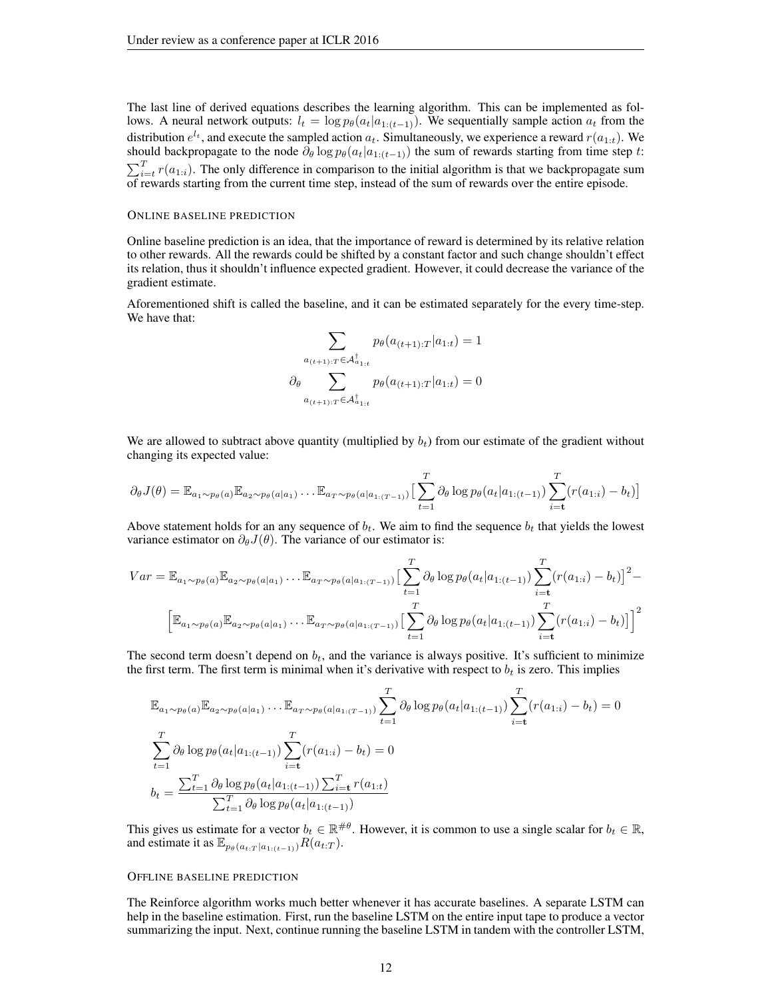The last line of derived equations describes the learning algorithm. This can be implemented as follows. A neural network outputs:  $l_t = \log p_\theta(a_t|a_{1:(t-1)})$ . We sequentially sample action  $a_t$  from the distribution  $e^{l_t}$ , and execute the sampled action  $a_t$ . Simultaneously, we experience a reward  $r(a_{1:t})$ . We should backpropagate to the node  $\partial_{\theta} \log p_{\theta}(a_t|a_{1:(t-1)})$  the sum of rewards starting from time step t:  $\sum_{i=t}^{T} r(a_{1:i})$ . The only difference in comparison to the initial algorithm is that we backpropagate sum of rewards starting from the current time step, instead of the sum of rewards over the entire episode.

#### ONLINE BASELINE PREDICTION

Online baseline prediction is an idea, that the importance of reward is determined by its relative relation to other rewards. All the rewards could be shifted by a constant factor and such change shouldn't effect its relation, thus it shouldn't influence expected gradient. However, it could decrease the variance of the gradient estimate.

Aforementioned shift is called the baseline, and it can be estimated separately for the every time-step. We have that:

$$
\sum_{\substack{a_{(t+1):T}\in \mathcal{A}_{a_{1:t}}^{\dagger} \\ \partial_{\theta}}}\n p_{\theta}(a_{(t+1):T}|a_{1:t}) = 1
$$
\n
$$
\sum_{\substack{a_{(t+1):T}\in \mathcal{A}_{a_{1:t}}^{\dagger}}} \n p_{\theta}(a_{(t+1):T}|a_{1:t}) = 0
$$

We are allowed to subtract above quantity (multiplied by  $b_t$ ) from our estimate of the gradient without changing its expected value:

$$
\partial_{\theta} J(\theta) = \mathbb{E}_{a_1 \sim p_{\theta}(a)} \mathbb{E}_{a_2 \sim p_{\theta}(a|a_1)} \dots \mathbb{E}_{a_T \sim p_{\theta}(a|a_{1:(T-1)})} \Big[ \sum_{t=1}^T \partial_{\theta} \log p_{\theta}(a_t|a_{1:(t-1)}) \sum_{i=t}^T (r(a_{1:i}) - b_t) \Big]
$$

Above statement holds for an any sequence of  $b_t$ . We aim to find the sequence  $b_t$  that yields the lowest variance estimator on  $\partial_{\theta}J(\theta)$ . The variance of our estimator is:

$$
Var = \mathbb{E}_{a_1 \sim p_{\theta}(a)} \mathbb{E}_{a_2 \sim p_{\theta}(a|a_1)} \dots \mathbb{E}_{a_T \sim p_{\theta}(a|a_{1:(T-1)})} \Big[ \sum_{t=1}^T \partial_{\theta} \log p_{\theta}(a_t|a_{1:(t-1)}) \sum_{i=t}^T (r(a_{1:i}) - b_t) \Big]^2 - \left[ \mathbb{E}_{a_1 \sim p_{\theta}(a)} \mathbb{E}_{a_2 \sim p_{\theta}(a|a_1)} \dots \mathbb{E}_{a_T \sim p_{\theta}(a|a_{1:(T-1)})} \Big[ \sum_{t=1}^T \partial_{\theta} \log p_{\theta}(a_t|a_{1:(t-1)}) \sum_{i=t}^T (r(a_{1:i}) - b_t) \Big] \right]^2
$$

The second term doesn't depend on  $b_t$ , and the variance is always positive. It's sufficient to minimize the first term. The first term is minimal when it's derivative with respect to  $b_t$  is zero. This implies

$$
\mathbb{E}_{a_1 \sim p_{\theta}(a)} \mathbb{E}_{a_2 \sim p_{\theta}(a|a_1)} \dots \mathbb{E}_{a_T \sim p_{\theta}(a|a_{1:(T-1)})} \sum_{t=1}^T \partial_{\theta} \log p_{\theta}(a_t|a_{1:(t-1)}) \sum_{i=t}^T (r(a_{1:i}) - b_t) = 0
$$
\n
$$
\sum_{t=1}^T \partial_{\theta} \log p_{\theta}(a_t|a_{1:(t-1)}) \sum_{i=t}^T (r(a_{1:i}) - b_t) = 0
$$
\n
$$
b_t = \frac{\sum_{t=1}^T \partial_{\theta} \log p_{\theta}(a_t|a_{1:(t-1)}) \sum_{i=t}^T r(a_{1:t})}{\sum_{t=1}^T \partial_{\theta} \log p_{\theta}(a_t|a_{1:(t-1)})}
$$

This gives us estimate for a vector  $b_t \in \mathbb{R}^{\# \theta}$ . However, it is common to use a single scalar for  $b_t \in \mathbb{R}$ , and estimate it as  $\mathbb{E}_{p_{\theta}(a_{t:T} | a_{1:(t-1)})} R(a_{t:T}).$ 

#### OFFLINE BASELINE PREDICTION

The Reinforce algorithm works much better whenever it has accurate baselines. A separate LSTM can help in the baseline estimation. First, run the baseline LSTM on the entire input tape to produce a vector summarizing the input. Next, continue running the baseline LSTM in tandem with the controller LSTM,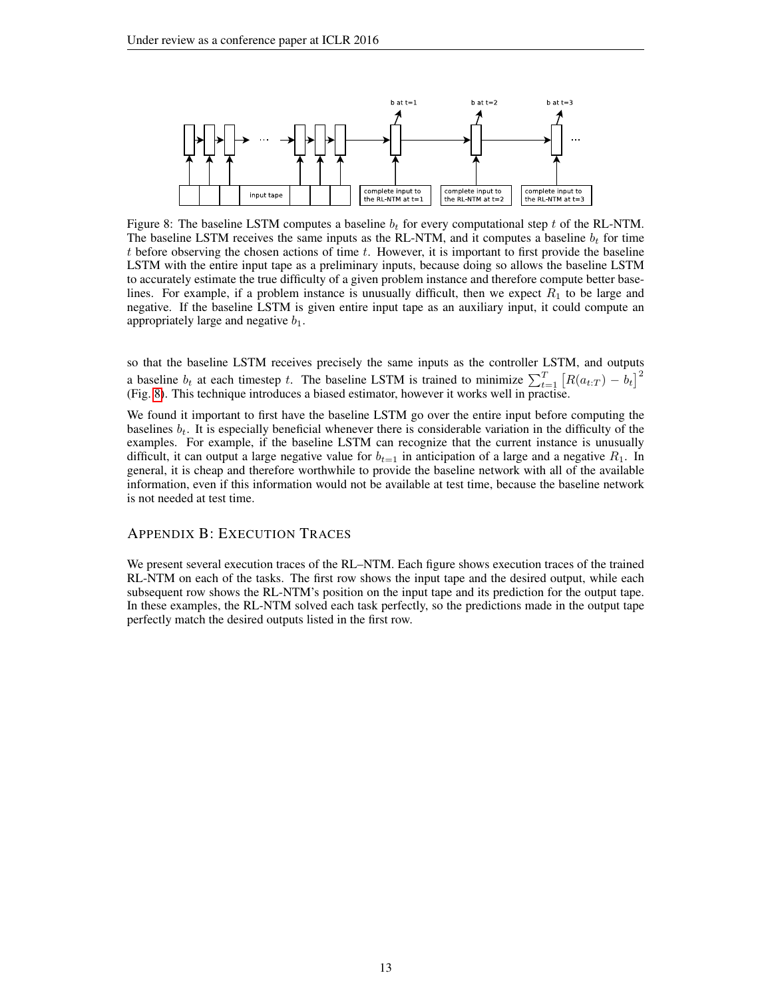<span id="page-12-0"></span>

Figure 8: The baseline LSTM computes a baseline  $b_t$  for every computational step t of the RL-NTM. The baseline LSTM receives the same inputs as the RL-NTM, and it computes a baseline  $b_t$  for time t before observing the chosen actions of time t. However, it is important to first provide the baseline LSTM with the entire input tape as a preliminary inputs, because doing so allows the baseline LSTM to accurately estimate the true difficulty of a given problem instance and therefore compute better baselines. For example, if a problem instance is unusually difficult, then we expect  $R_1$  to be large and negative. If the baseline LSTM is given entire input tape as an auxiliary input, it could compute an appropriately large and negative  $b_1$ .

so that the baseline LSTM receives precisely the same inputs as the controller LSTM, and outputs a baseline  $b_t$  at each timestep t. The baseline LSTM is trained to minimize  $\sum_{t=1}^{T} [R(a_{t:T}) - b_t]^2$ (Fig. [8\)](#page-12-0). This technique introduces a biased estimator, however it works well in practise.

We found it important to first have the baseline LSTM go over the entire input before computing the baselines  $b_t$ . It is especially beneficial whenever there is considerable variation in the difficulty of the examples. For example, if the baseline LSTM can recognize that the current instance is unusually difficult, it can output a large negative value for  $b_{t=1}$  in anticipation of a large and a negative  $R_1$ . In general, it is cheap and therefore worthwhile to provide the baseline network with all of the available information, even if this information would not be available at test time, because the baseline network is not needed at test time.

## APPENDIX B: EXECUTION TRACES

We present several execution traces of the RL–NTM. Each figure shows execution traces of the trained RL-NTM on each of the tasks. The first row shows the input tape and the desired output, while each subsequent row shows the RL-NTM's position on the input tape and its prediction for the output tape. In these examples, the RL-NTM solved each task perfectly, so the predictions made in the output tape perfectly match the desired outputs listed in the first row.